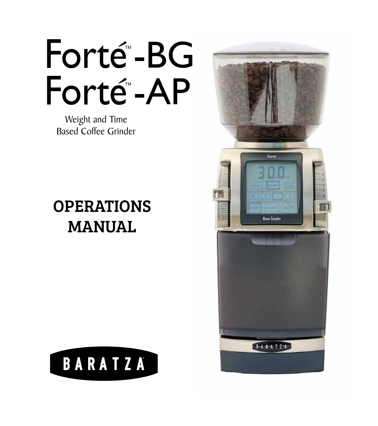Forté-BG Forté-AP

Weight and Time Based Coffee Grinder

# OPERATIONS MANUAL



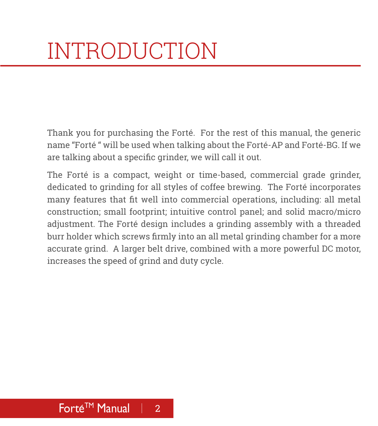<span id="page-1-0"></span>Thank you for purchasing the Forté. For the rest of this manual, the generic name "Forté " will be used when talking about the Forté-AP and Forté-BG. If we are talking about a specific grinder, we will call it out.

The Forté is a compact, weight or time-based, commercial grade grinder, dedicated to grinding for all styles of coffee brewing. The Forté incorporates many features that fit well into commercial operations, including: all metal construction; small footprint; intuitive control panel; and solid macro/micro adjustment. The Forté design includes a grinding assembly with a threaded burr holder which screws firmly into an all metal grinding chamber for a more accurate grind. A larger belt drive, combined with a more powerful DC motor, increases the speed of grind and duty cycle.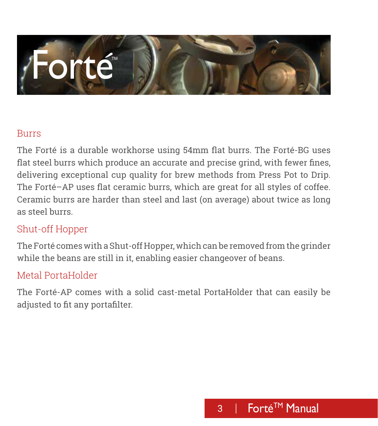# /Forte

#### Burrs

The Forté is a durable workhorse using 54mm flat burrs. The Forté-BG uses flat steel burrs which produce an accurate and precise grind, with fewer fines, delivering exceptional cup quality for brew methods from Press Pot to Drip. The Forté–AP uses flat ceramic burrs, which are great for all styles of coffee. Ceramic burrs are harder than steel and last (on average) about twice as long as steel burrs.

#### Shut-off Hopper

The Forté comes with a Shut-off Hopper, which can be removed from the grinder while the beans are still in it, enabling easier changeover of beans.

#### Metal PortaHolder

The Forté-AP comes with a solid cast-metal PortaHolder that can easily be adjusted to fit any portafilter.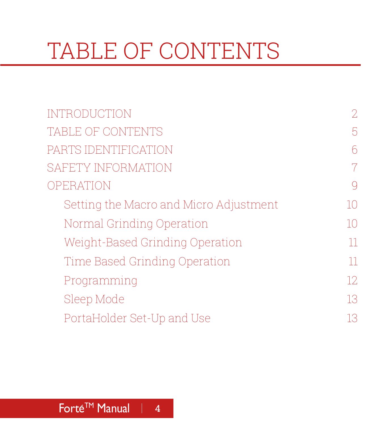# TABLE OF CONTENTS

| <b>INTRODUCTION</b>                    | $\overline{2}$ |
|----------------------------------------|----------------|
| TABLE OF CONTENTS                      | 5              |
| PARTS IDENTIFICATION                   | 6              |
| SAFETY INFORMATION                     | $\overline{7}$ |
| OPERATION                              | $\bigcirc$     |
| Setting the Macro and Micro Adjustment | 10             |
| Normal Grinding Operation              | 10             |
| Weight-Based Grinding Operation        | 11             |
| Time Based Grinding Operation          | 11             |
| Programming                            | 12             |
| Sleep Mode                             | 13             |
| PortaHolder Set-Up and Use             | 13             |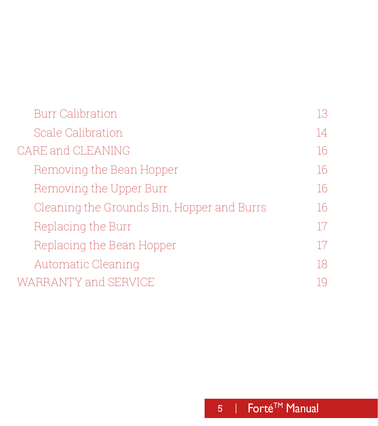### <span id="page-4-0"></span>[Burr Calibration](#page-12-0) 13 [Scale Calibration](#page-13-0) 14 [CARE and CLEANING](#page-15-0) 16 [Removing the Bean Hopper](#page-15-0) 16 [Removing the Upper Burr](#page-15-0) 16 [Cleaning the Grounds Bin, Hopper and Burrs](#page-15-0) 16 [Replacing the Burr](#page-16-0) 17 [Replacing the Bean Hopper](#page-16-0) 17 [Automatic Cleaning](#page-17-0) 18 [WARRANTY and SERVICE](#page-18-0) 19

#### 5 | Forté™ Manual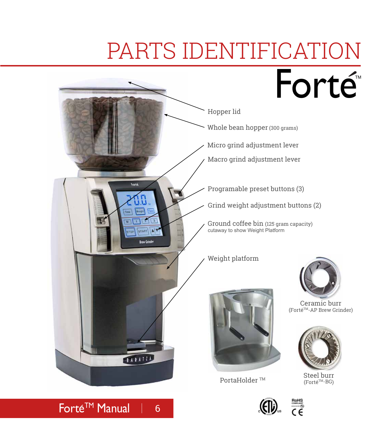# PARTS IDENTIFICATION

<span id="page-5-0"></span>

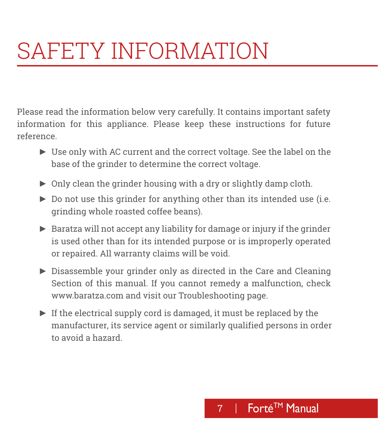# <span id="page-6-0"></span>SAFETY INFORMATION

Please read the information below very carefully. It contains important safety information for this appliance. Please keep these instructions for future reference.

- ► Use only with AC current and the correct voltage. See the label on the base of the grinder to determine the correct voltage.
- ► Only clean the grinder housing with a dry or slightly damp cloth.
- ► Do not use this grinder for anything other than its intended use (i.e. grinding whole roasted coffee beans).
- ► Baratza will not accept any liability for damage or injury if the grinder is used other than for its intended purpose or is improperly operated or repaired. All warranty claims will be void.
- ► Disassemble your grinder only as directed in the Care and Cleaning Section of this manual. If you cannot remedy a malfunction, check www.baratza.com and visit our Troubleshooting page.
- ► If the electrical supply cord is damaged, it must be replaced by the manufacturer, its service agent or similarly qualified persons in order to avoid a hazard.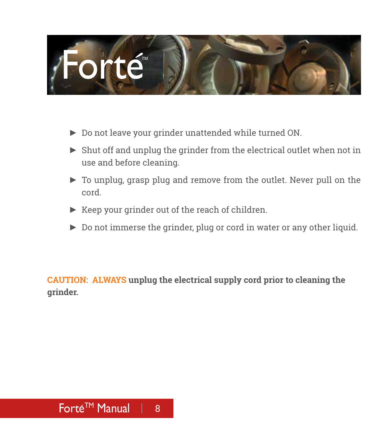# Forté<sup>™</sup>

- ► Do not leave your grinder unattended while turned ON.
- ► Shut off and unplug the grinder from the electrical outlet when not in use and before cleaning.
- ► To unplug, grasp plug and remove from the outlet. Never pull on the cord.
- ► Keep your grinder out of the reach of children.
- ► Do not immerse the grinder, plug or cord in water or any other liquid.

**CAUTION: ALWAYS unplug the electrical supply cord prior to cleaning the grinder.**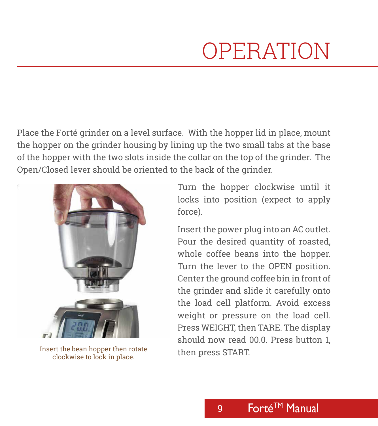# OPERATION

<span id="page-8-0"></span>Place the Forté grinder on a level surface. With the hopper lid in place, mount the hopper on the grinder housing by lining up the two small tabs at the base of the hopper with the two slots inside the collar on the top of the grinder. The Open/Closed lever should be oriented to the back of the grinder.



Insert the bean hopper then rotate<br>
then press START. clockwise to lock in place.

Turn the hopper clockwise until it locks into position (expect to apply force).

Insert the power plug into an AC outlet. Pour the desired quantity of roasted, whole coffee beans into the hopper. Turn the lever to the OPEN position. Center the ground coffee bin in front of the grinder and slide it carefully onto the load cell platform. Avoid excess weight or pressure on the load cell. Press WEIGHT, then TARE. The display should now read 00.0. Press button 1,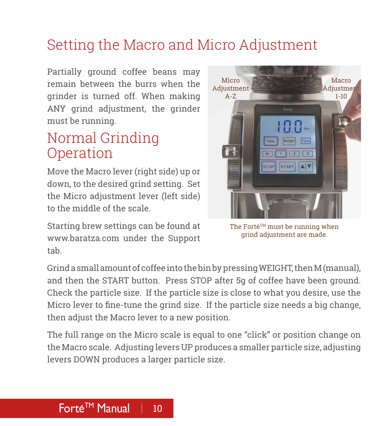#### <span id="page-9-0"></span>Setting the Macro and Micro Adjustment

Partially ground coffee beans may remain between the burrs when the grinder is turned off. When making ANY grind adjustment, the grinder must be running.

#### Normal Grinding Operation

Move the Macro lever (right side) up or down, to the desired grind setting. Set the Micro adjustment lever (left side) to the middle of the scale.

Starting brew settings can be found at www.baratza.com under the Support tab.



The Forté<sup>TM</sup> must be running when grind adjustment are made.

Grind a small amount of coffee into the bin by pressing WEIGHT, then M (manual), and then the START button. Press STOP after 5g of coffee have been ground. Check the particle size. If the particle size is close to what you desire, use the Micro lever to fine-tune the grind size. If the particle size needs a big change, then adjust the Macro lever to a new position.

The full range on the Micro scale is equal to one "click" or position change on the Macro scale. Adjusting levers UP produces a smaller particle size, adjusting levers DOWN produces a larger particle size.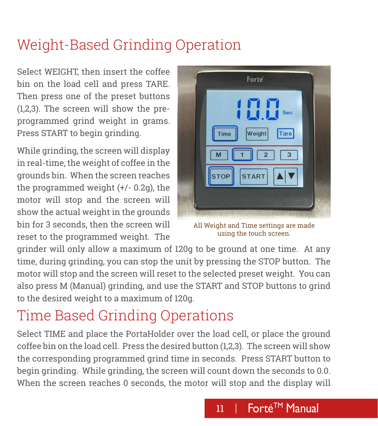### <span id="page-10-0"></span>Weight-Based Grinding Operation

Select WEIGHT, then insert the coffee bin on the load cell and press TARE. Then press one of the preset buttons (1,2,3). The screen will show the preprogrammed grind weight in grams. Press START to begin grinding.

While grinding, the screen will display in real-time, the weight of coffee in the grounds bin. When the screen reaches the programmed weight (+/- 0.2g), the motor will stop and the screen will show the actual weight in the grounds bin for 3 seconds, then the screen will reset to the programmed weight. The



All Weight and Time settings are made using the touch screen.

grinder will only allow a maximum of 120g to be ground at one time. At any time, during grinding, you can stop the unit by pressing the STOP button. The motor will stop and the screen will reset to the selected preset weight. You can also press M (Manual) grinding, and use the START and STOP buttons to grind to the desired weight to a maximum of 120g.

## Time Based Grinding Operations

Select TIME and place the PortaHolder over the load cell, or place the ground coffee bin on the load cell. Press the desired button (1,2,3). The screen will show the corresponding programmed grind time in seconds. Press START button to begin grinding. While grinding, the screen will count down the seconds to 0.0. When the screen reaches 0 seconds, the motor will stop and the display will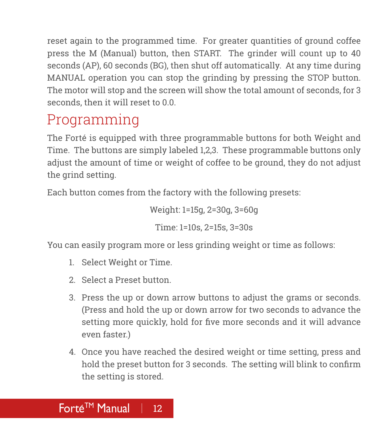<span id="page-11-0"></span>reset again to the programmed time. For greater quantities of ground coffee press the M (Manual) button, then START. The grinder will count up to 40 seconds (AP), 60 seconds (BG), then shut off automatically. At any time during MANUAL operation you can stop the grinding by pressing the STOP button. The motor will stop and the screen will show the total amount of seconds, for 3 seconds, then it will reset to 0.0.

### Programming

The Forté is equipped with three programmable buttons for both Weight and Time. The buttons are simply labeled 1,2,3. These programmable buttons only adjust the amount of time or weight of coffee to be ground, they do not adjust the grind setting.

Each button comes from the factory with the following presets:

Weight: 1=15g, 2=30g, 3=60g Time: 1=10s, 2=15s, 3=30s

You can easily program more or less grinding weight or time as follows:

- 1. Select Weight or Time.
- 2. Select a Preset button.
- 3. Press the up or down arrow buttons to adjust the grams or seconds. (Press and hold the up or down arrow for two seconds to advance the setting more quickly, hold for five more seconds and it will advance even faster.)
- 4. Once you have reached the desired weight or time setting, press and hold the preset button for 3 seconds. The setting will blink to confirm the setting is stored.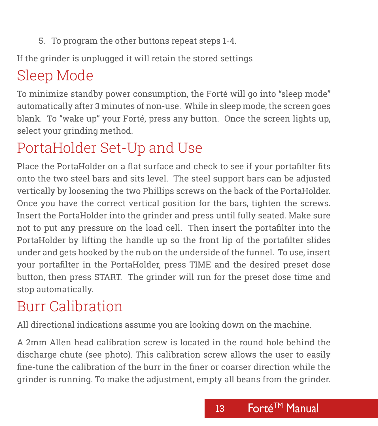<span id="page-12-0"></span>5. To program the other buttons repeat steps 1-4.

If the grinder is unplugged it will retain the stored settings

# Sleep Mode

To minimize standby power consumption, the Forté will go into "sleep mode" automatically after 3 minutes of non-use. While in sleep mode, the screen goes blank. To "wake up" your Forté, press any button. Once the screen lights up, select your grinding method.

## PortaHolder Set-Up and Use

Place the PortaHolder on a flat surface and check to see if your portafilter fits onto the two steel bars and sits level. The steel support bars can be adjusted vertically by loosening the two Phillips screws on the back of the PortaHolder. Once you have the correct vertical position for the bars, tighten the screws. Insert the PortaHolder into the grinder and press until fully seated. Make sure not to put any pressure on the load cell. Then insert the portafilter into the PortaHolder by lifting the handle up so the front lip of the portafilter slides under and gets hooked by the nub on the underside of the funnel. To use, insert your portafilter in the PortaHolder, press TIME and the desired preset dose button, then press START. The grinder will run for the preset dose time and stop automatically.

# Burr Calibration

All directional indications assume you are looking down on the machine.

A 2mm Allen head calibration screw is located in the round hole behind the discharge chute (see photo). This calibration screw allows the user to easily fine-tune the calibration of the burr in the finer or coarser direction while the grinder is running. To make the adjustment, empty all beans from the grinder.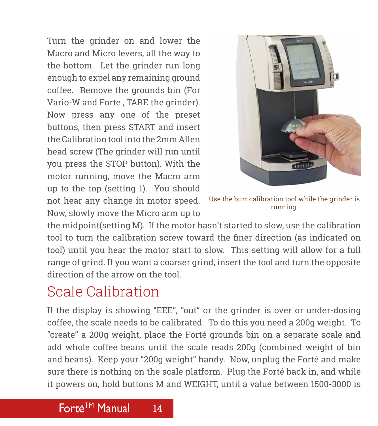<span id="page-13-0"></span>Turn the grinder on and lower the Macro and Micro levers, all the way to the bottom. Let the grinder run long enough to expel any remaining ground coffee. Remove the grounds bin (For Vario-W and Forte , TARE the grinder). Now press any one of the preset buttons, then press START and insert the Calibration tool into the 2mm Allen head screw (The grinder will run until you press the STOP button). With the motor running, move the Macro arm up to the top (setting 1). You should not hear any change in motor speed. Now, slowly move the Micro arm up to



Use the burr calibration tool while the grinder is running.

the midpoint(setting M). If the motor hasn't started to slow, use the calibration tool to turn the calibration screw toward the finer direction (as indicated on tool) until you hear the motor start to slow. This setting will allow for a full range of grind. If you want a coarser grind, insert the tool and turn the opposite direction of the arrow on the tool.

#### Scale Calibration

If the display is showing "EEE", "out" or the grinder is over or under-dosing coffee, the scale needs to be calibrated. To do this you need a 200g weight. To "create" a 200g weight, place the Forté grounds bin on a separate scale and add whole coffee beans until the scale reads 200g (combined weight of bin and beans). Keep your "200g weight" handy. Now, unplug the Forté and make sure there is nothing on the scale platform. Plug the Forté back in, and while it powers on, hold buttons M and WEIGHT, until a value between 1500-3000 is

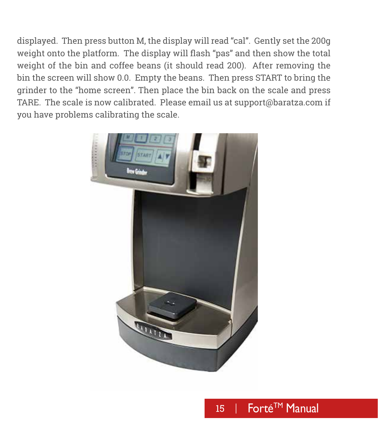displayed. Then press button M, the display will read "cal". Gently set the 200g weight onto the platform. The display will flash "pas" and then show the total weight of the bin and coffee beans (it should read 200). After removing the bin the screen will show 0.0. Empty the beans. Then press START to bring the grinder to the "home screen". Then place the bin back on the scale and press TARE. The scale is now calibrated. Please email us at support@baratza.com if you have problems calibrating the scale.



#### 15 | Forté™ Manual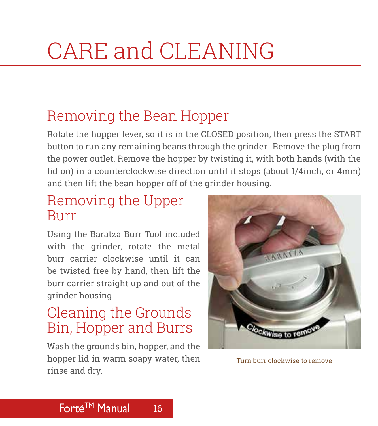# <span id="page-15-0"></span>CARE and CLEANING

#### Removing the Bean Hopper

Rotate the hopper lever, so it is in the CLOSED position, then press the START button to run any remaining beans through the grinder. Remove the plug from the power outlet. Remove the hopper by twisting it, with both hands (with the lid on) in a counterclockwise direction until it stops (about 1/4inch, or 4mm) and then lift the bean hopper off of the grinder housing.

#### Removing the Upper Burr

Using the Baratza Burr Tool included with the grinder, rotate the metal burr carrier clockwise until it can be twisted free by hand, then lift the burr carrier straight up and out of the grinder housing.

#### Cleaning the Grounds Bin, Hopper and Burrs

Wash the grounds bin, hopper, and the hopper lid in warm soapy water, then rinse and dry.



Turn burr clockwise to remove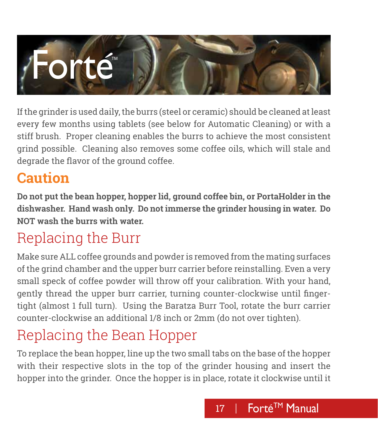

<span id="page-16-0"></span>If the grinder is used daily, the burrs (steel or ceramic) should be cleaned at least every few months using tablets (see below for Automatic Cleaning) or with a stiff brush. Proper cleaning enables the burrs to achieve the most consistent grind possible. Cleaning also removes some coffee oils, which will stale and degrade the flavor of the ground coffee.

#### **Caution**

**Do not put the bean hopper, hopper lid, ground coffee bin, or PortaHolder in the dishwasher. Hand wash only. Do not immerse the grinder housing in water. Do NOT wash the burrs with water.**

## Replacing the Burr

Make sure ALL coffee grounds and powder is removed from the mating surfaces of the grind chamber and the upper burr carrier before reinstalling. Even a very small speck of coffee powder will throw off your calibration. With your hand, gently thread the upper burr carrier, turning counter-clockwise until fingertight (almost 1 full turn). Using the Baratza Burr Tool, rotate the burr carrier counter-clockwise an additional 1/8 inch or 2mm (do not over tighten).

## Replacing the Bean Hopper

To replace the bean hopper, line up the two small tabs on the base of the hopper with their respective slots in the top of the grinder housing and insert the hopper into the grinder. Once the hopper is in place, rotate it clockwise until it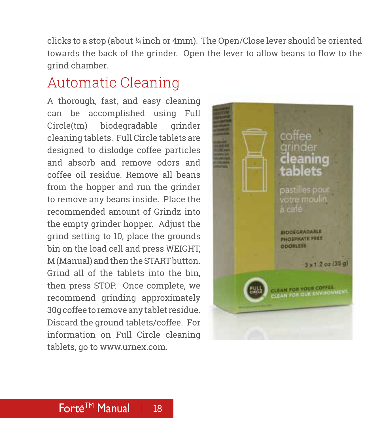<span id="page-17-0"></span>clicks to a stop (about ¼ inch or 4mm). The Open/Close lever should be oriented towards the back of the grinder. Open the lever to allow beans to flow to the grind chamber.

#### Automatic Cleaning

A thorough, fast, and easy cleaning can be accomplished using Full Circle(tm) biodegradable grinder cleaning tablets. Full Circle tablets are designed to dislodge coffee particles and absorb and remove odors and coffee oil residue. Remove all beans from the hopper and run the grinder to remove any beans inside. Place the recommended amount of Grindz into the empty grinder hopper. Adjust the grind setting to 10, place the grounds bin on the load cell and press WEIGHT, M (Manual) and then the START button. Grind all of the tablets into the bin, then press STOP. Once complete, we recommend grinding approximately 30g coffee to remove any tablet residue. Discard the ground tablets/coffee. For information on Full Circle cleaning tablets, go to www.urnex.com.

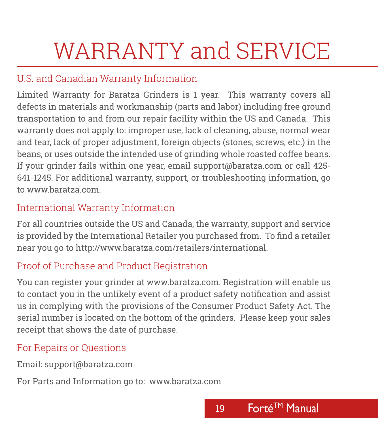# <span id="page-18-0"></span>WARRANTY and SERVICE

#### U.S. and Canadian Warranty Information

Limited Warranty for Baratza Grinders is 1 year. This warranty covers all defects in materials and workmanship (parts and labor) including free ground transportation to and from our repair facility within the US and Canada. This warranty does not apply to: improper use, lack of cleaning, abuse, normal wear and tear, lack of proper adjustment, foreign objects (stones, screws, etc.) in the beans, or uses outside the intended use of grinding whole roasted coffee beans. If your grinder fails within one year, email support@baratza.com or call 425- 641-1245. For additional warranty, support, or troubleshooting information, go to www.baratza.com.

#### International Warranty Information

For all countries outside the US and Canada, the warranty, support and service is provided by the International Retailer you purchased from. To find a retailer near you go to http://www.baratza.com/retailers/international.

#### Proof of Purchase and Product Registration

You can register your grinder at www.baratza.com. Registration will enable us to contact you in the unlikely event of a product safety notification and assist us in complying with the provisions of the Consumer Product Safety Act. The serial number is located on the bottom of the grinders. Please keep your sales receipt that shows the date of purchase.

#### For Repairs or Questions

Email: support@baratza.com

For Parts and Information go to: www.baratza.com